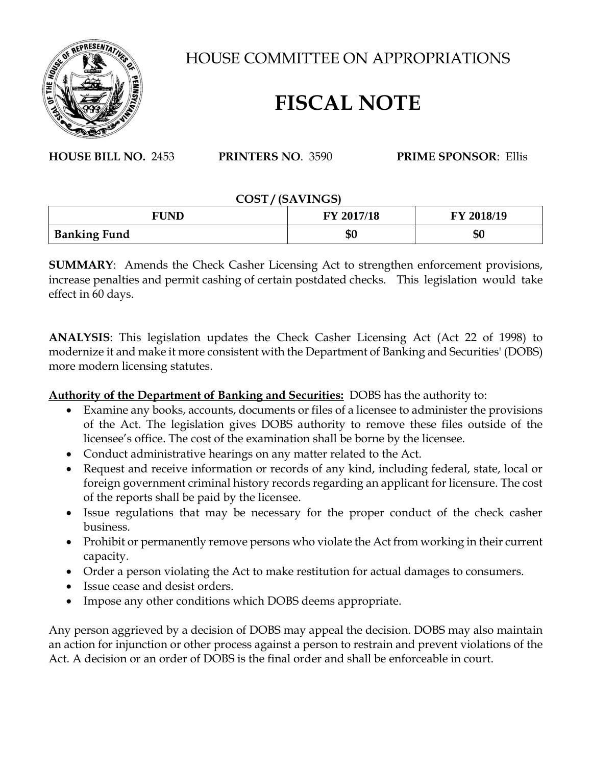

HOUSE COMMITTEE ON APPROPRIATIONS

## **FISCAL NOTE**

**HOUSE BILL NO.** 2453 **PRINTERS NO**. 3590 **PRIME SPONSOR**: Ellis

## **COST / (SAVINGS)**

| FUND                | FY 2017/18 | FY 2018/19 |
|---------------------|------------|------------|
| <b>Banking Fund</b> | \$0        | \$0        |

**SUMMARY**: Amends the Check Casher Licensing Act to strengthen enforcement provisions, increase penalties and permit cashing of certain postdated checks. This legislation would take effect in 60 days.

**ANALYSIS**: This legislation updates the Check Casher Licensing Act (Act 22 of 1998) to modernize it and make it more consistent with the Department of Banking and Securities' (DOBS) more modern licensing statutes.

**Authority of the Department of Banking and Securities:** DOBS has the authority to:

- Examine any books, accounts, documents or files of a licensee to administer the provisions of the Act. The legislation gives DOBS authority to remove these files outside of the licensee's office. The cost of the examination shall be borne by the licensee.
- Conduct administrative hearings on any matter related to the Act.
- Request and receive information or records of any kind, including federal, state, local or foreign government criminal history records regarding an applicant for licensure. The cost of the reports shall be paid by the licensee.
- Issue regulations that may be necessary for the proper conduct of the check casher business.
- Prohibit or permanently remove persons who violate the Act from working in their current capacity.
- Order a person violating the Act to make restitution for actual damages to consumers.
- Issue cease and desist orders.
- Impose any other conditions which DOBS deems appropriate.

Any person aggrieved by a decision of DOBS may appeal the decision. DOBS may also maintain an action for injunction or other process against a person to restrain and prevent violations of the Act. A decision or an order of DOBS is the final order and shall be enforceable in court.